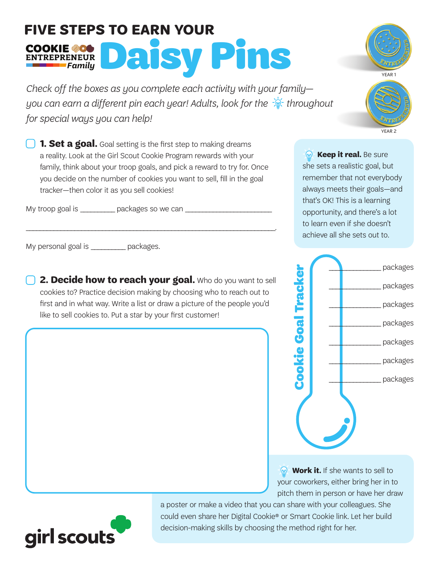## **FIVE STEPS TO EARN YOUR**  COOKIE 20 DAISY Pins

*Check off the boxes as you complete each activity with your family you can earn a different pin each year! Adults, look for the*  $\frac{1}{2}$  *throughout for special ways you can help!*

**1. Set a goal.** Goal setting is the first step to making dreams a reality. Look at the Girl Scout Cookie Program rewards with your family, think about your troop goals, and pick a reward to try for. Once you decide on the number of cookies you want to sell, fill in the goal tracker—then color it as you sell cookies!

\_\_\_\_\_\_\_\_\_\_\_\_\_\_\_\_\_\_\_\_\_\_\_\_\_\_\_\_\_\_\_\_\_\_\_\_\_\_\_\_\_\_\_\_\_\_\_\_\_\_\_\_\_\_\_\_\_\_\_\_\_\_\_\_\_\_\_\_\_\_\_\_.

My troop goal is \_\_\_\_\_\_\_\_\_\_\_\_ packages so we can \_\_\_\_\_\_\_\_\_\_\_\_\_\_\_\_\_\_\_\_\_\_\_\_\_\_\_\_\_\_\_

My personal goal is example packages.

 **2. Decide how to reach your goal.** Who do you want to sell cookies to? Practice decision making by choosing who to reach out to first and in what way. Write a list or draw a picture of the people you'd like to sell cookies to. Put a star by your first customer!

*R* Keep it real. Be sure she sets a realistic goal, but remember that not everybody always meets their goals—and that's OK! This is a learning opportunity, and there's a lot to learn even if she doesn't achieve all she sets out to.

*Work it.* If she wants to sell to your coworkers, either bring her in to pitch them in person or have her draw

a poster or make a video that you can share with your colleagues. She could even share her Digital Cookie® or Smart Cookie link. Let her build





YEAR 2